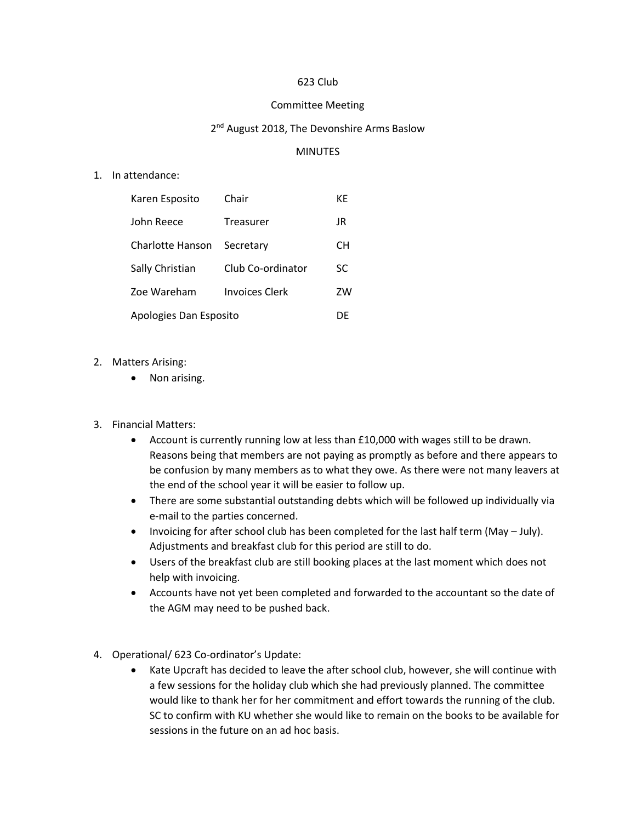## 623 Club

## Committee Meeting

## 2<sup>nd</sup> August 2018, The Devonshire Arms Baslow

## MINUTES

1. In attendance:

| Karen Esposito         | Chair                 | КE |
|------------------------|-----------------------|----|
| John Reece             | Treasurer             | JR |
| Charlotte Hanson       | Secretary             | CН |
| Sally Christian        | Club Co-ordinator     | SC |
| Zoe Wareham            | <b>Invoices Clerk</b> | ZW |
| Apologies Dan Esposito |                       | DE |

- 2. Matters Arising:
	- Non arising.
- 3. Financial Matters:
	- Account is currently running low at less than £10,000 with wages still to be drawn. Reasons being that members are not paying as promptly as before and there appears to be confusion by many members as to what they owe. As there were not many leavers at the end of the school year it will be easier to follow up.
	- There are some substantial outstanding debts which will be followed up individually via e-mail to the parties concerned.
	- Invoicing for after school club has been completed for the last half term (May July). Adjustments and breakfast club for this period are still to do.
	- Users of the breakfast club are still booking places at the last moment which does not help with invoicing.
	- Accounts have not yet been completed and forwarded to the accountant so the date of the AGM may need to be pushed back.
- 4. Operational/ 623 Co-ordinator's Update:
	- Kate Upcraft has decided to leave the after school club, however, she will continue with a few sessions for the holiday club which she had previously planned. The committee would like to thank her for her commitment and effort towards the running of the club. SC to confirm with KU whether she would like to remain on the books to be available for sessions in the future on an ad hoc basis.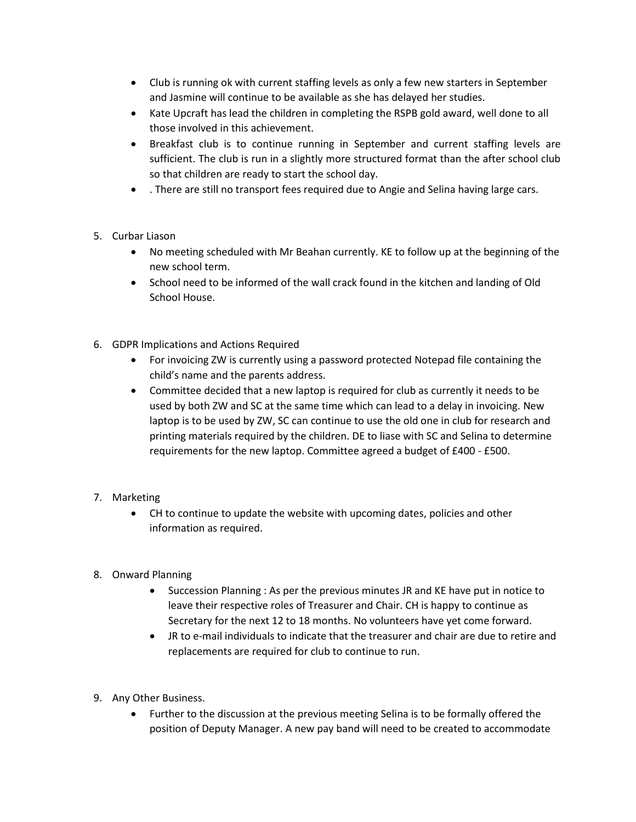- Club is running ok with current staffing levels as only a few new starters in September and Jasmine will continue to be available as she has delayed her studies.
- Kate Upcraft has lead the children in completing the RSPB gold award, well done to all those involved in this achievement.
- Breakfast club is to continue running in September and current staffing levels are sufficient. The club is run in a slightly more structured format than the after school club so that children are ready to start the school day.
- . There are still no transport fees required due to Angie and Selina having large cars.
- 5. Curbar Liason
	- No meeting scheduled with Mr Beahan currently. KE to follow up at the beginning of the new school term.
	- School need to be informed of the wall crack found in the kitchen and landing of Old School House.
- 6. GDPR Implications and Actions Required
	- For invoicing ZW is currently using a password protected Notepad file containing the child's name and the parents address.
	- Committee decided that a new laptop is required for club as currently it needs to be used by both ZW and SC at the same time which can lead to a delay in invoicing. New laptop is to be used by ZW, SC can continue to use the old one in club for research and printing materials required by the children. DE to liase with SC and Selina to determine requirements for the new laptop. Committee agreed a budget of £400 - £500.
- 7. Marketing
	- CH to continue to update the website with upcoming dates, policies and other information as required.
- 8. Onward Planning
	- Succession Planning : As per the previous minutes JR and KE have put in notice to leave their respective roles of Treasurer and Chair. CH is happy to continue as Secretary for the next 12 to 18 months. No volunteers have yet come forward.
	- JR to e-mail individuals to indicate that the treasurer and chair are due to retire and replacements are required for club to continue to run.
- 9. Any Other Business.
	- Further to the discussion at the previous meeting Selina is to be formally offered the position of Deputy Manager. A new pay band will need to be created to accommodate